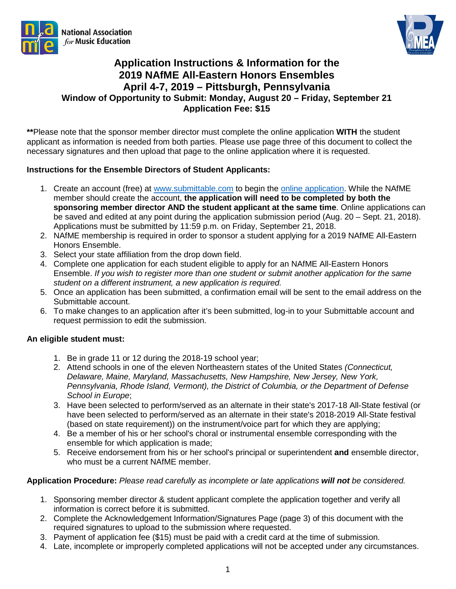



## **Application Instructions & Information for the 2019 NAfME All-Eastern Honors Ensembles April 4-7, 2019 – Pittsburgh, Pennsylvania Window of Opportunity to Submit: Monday, August 20 – Friday, September 21 Application Fee: \$15**

**\*\***Please note that the sponsor member director must complete the online application **WITH** the student applicant as information is needed from both parties. Please use page three of this document to collect the necessary signatures and then upload that page to the online application where it is requested.

## **Instructions for the Ensemble Directors of Student Applicants:**

- 1. Create an account (free) at [www.submittable.com](http://www.submittable.com/) to begin the [online application.](https://pmea.submittable.com/submit/d9408e8b-fca4-4335-b7a1-e89e869b836b/2019-nafme-all-eastern-honors-ensemble-application) While the NAfME member should create the account, **the application will need to be completed by both the sponsoring member director AND the student applicant at the same time**. Online applications can be saved and edited at any point during the application submission period (Aug. 20 – Sept. 21, 2018). Applications must be submitted by 11:59 p.m. on Friday, September 21, 2018.
- 2. NAfME membership is required in order to sponsor a student applying for a 2019 NAfME All-Eastern Honors Ensemble.
- 3. Select your state affiliation from the drop down field.
- 4. Complete one application for each student eligible to apply for an NAfME All-Eastern Honors Ensemble. *If you wish to register more than one student or submit another application for the same student on a different instrument, a new application is required.*
- 5. Once an application has been submitted, a confirmation email will be sent to the email address on the Submittable account.
- 6. To make changes to an application after it's been submitted, log-in to your Submittable account and request permission to edit the submission.

## **An eligible student must:**

- 1. Be in grade 11 or 12 during the 2018-19 school year;
- 2. Attend schools in one of the eleven Northeastern states of the United States *(Connecticut, Delaware, Maine, Maryland, Massachusetts, New Hampshire, New Jersey, New York, Pennsylvania, Rhode Island, Vermont), the District of Columbia, or the Department of Defense School in Europe*;
- 3. Have been selected to perform/served as an alternate in their state's 2017-18 All‐State festival (or have been selected to perform/served as an alternate in their state's 2018-2019 All-State festival (based on state requirement)) on the instrument/voice part for which they are applying;
- 4. Be a member of his or her school's choral or instrumental ensemble corresponding with the ensemble for which application is made;
- 5. Receive endorsement from his or her school's principal or superintendent **and** ensemble director, who must be a current NAfME member.

## **Application Procedure:** *Please read carefully as incomplete or late applications will not be considered.*

- 1. Sponsoring member director & student applicant complete the application together and verify all information is correct before it is submitted.
- 2. Complete the Acknowledgement Information/Signatures Page (page 3) of this document with the required signatures to upload to the submission where requested.
- 3. Payment of application fee (\$15) must be paid with a credit card at the time of submission.
- 4. Late, incomplete or improperly completed applications will not be accepted under any circumstances.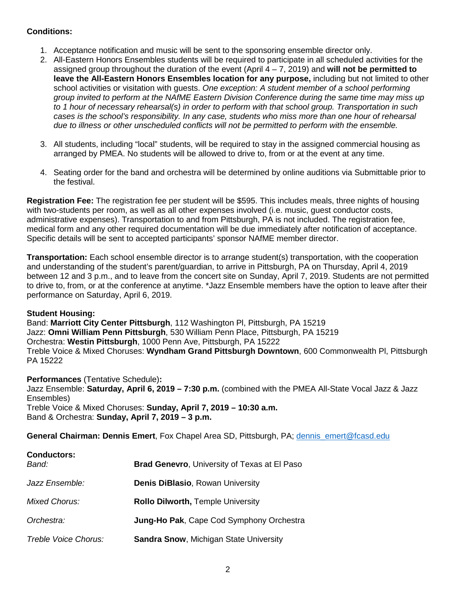## **Conditions:**

- 1. Acceptance notification and music will be sent to the sponsoring ensemble director only.
- 2. All-Eastern Honors Ensembles students will be required to participate in all scheduled activities for the assigned group throughout the duration of the event (April 4 – 7, 2019) and **will not be permitted to leave the All-Eastern Honors Ensembles location for any purpose,** including but not limited to other school activities or visitation with guests. *One exception: A student member of a school performing group invited to perform at the NAfME Eastern Division Conference during the same time may miss up to 1 hour of necessary rehearsal(s) in order to perform with that school group. Transportation in such cases is the school's responsibility. In any case, students who miss more than one hour of rehearsal due to illness or other unscheduled conflicts will not be permitted to perform with the ensemble.*
- 3. All students, including "local" students, will be required to stay in the assigned commercial housing as arranged by PMEA. No students will be allowed to drive to, from or at the event at any time.
- 4. Seating order for the band and orchestra will be determined by online auditions via Submittable prior to the festival.

**Registration Fee:** The registration fee per student will be \$595. This includes meals, three nights of housing with two-students per room, as well as all other expenses involved (i.e. music, guest conductor costs, administrative expenses). Transportation to and from Pittsburgh, PA is not included. The registration fee, medical form and any other required documentation will be due immediately after notification of acceptance. Specific details will be sent to accepted participants' sponsor NAfME member director.

**Transportation:** Each school ensemble director is to arrange student(s) transportation, with the cooperation and understanding of the student's parent/guardian, to arrive in Pittsburgh, PA on Thursday, April 4, 2019 between 12 and 3 p.m., and to leave from the concert site on Sunday, April 7, 2019. Students are not permitted to drive to, from, or at the conference at anytime. \*Jazz Ensemble members have the option to leave after their performance on Saturday, April 6, 2019.

## **Student Housing:**

Band: **Marriott City Center Pittsburgh**, 112 Washington Pl, Pittsburgh, PA 15219 Jazz: **Omni William Penn Pittsburgh**, 530 William Penn Place, Pittsburgh, PA 15219 Orchestra: **Westin Pittsburgh**, 1000 Penn Ave, Pittsburgh, PA 15222 Treble Voice & Mixed Choruses: **Wyndham Grand Pittsburgh Downtown**, 600 Commonwealth Pl, Pittsburgh PA 15222

**Performances** (Tentative Schedule)**:** 

Jazz Ensemble: **Saturday, April 6, 2019 – 7:30 p.m.** (combined with the PMEA All-State Vocal Jazz & Jazz Ensembles) Treble Voice & Mixed Choruses: **Sunday, April 7, 2019 – 10:30 a.m.**

Band & Orchestra: **Sunday, April 7, 2019 – 3 p.m.**

**General Chairman: Dennis Emert**, Fox Chapel Area SD, Pittsburgh, PA; [dennis\\_emert@fcasd.edu](mailto:dennis_emert@fcasd.edu)

| <b>Conductors:</b><br>Band: | <b>Brad Genevro, University of Texas at El Paso</b> |
|-----------------------------|-----------------------------------------------------|
| Jazz Ensemble:              | <b>Denis DiBlasio, Rowan University</b>             |
| <b>Mixed Chorus:</b>        | <b>Rollo Dilworth, Temple University</b>            |
| Orchestra:                  | <b>Jung-Ho Pak, Cape Cod Symphony Orchestra</b>     |
| Treble Voice Chorus:        | <b>Sandra Snow, Michigan State University</b>       |